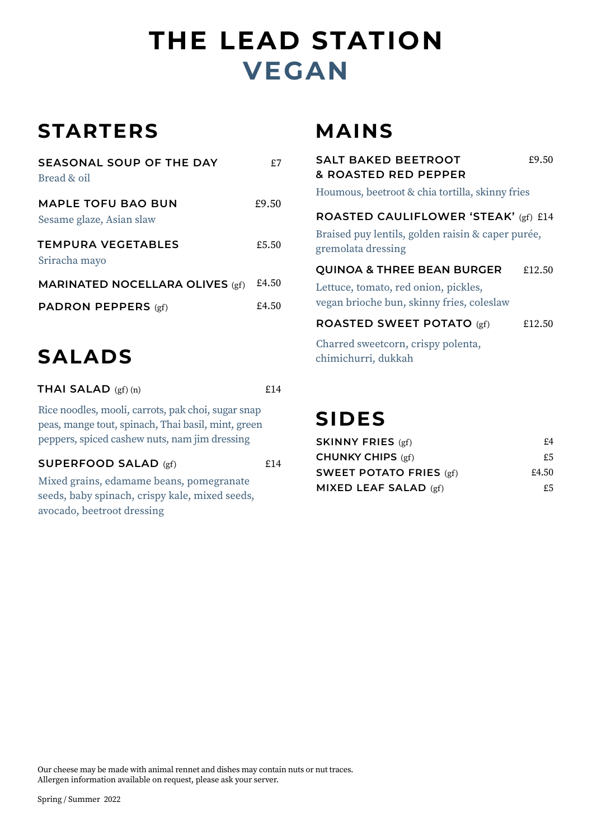# **VEGAN THE LEAD STATION**

### **STARTERS**

| SEASONAL SOUP OF THE DAY<br>Bread & oil               | £7    |
|-------------------------------------------------------|-------|
| <b>MAPLE TOFU BAO BUN</b><br>Sesame glaze, Asian slaw | £9.50 |
| TEMPURA VEGETABLES<br>Sriracha mayo                   | £5.50 |
| <b>MARINATED NOCELLARA OLIVES (gf)</b>                | £4.50 |
| <b>PADRON PEPPERS</b> (gf)                            | £4.50 |

## **SALADS** chimichurri, dukkah

**THAI SALAD**  $(gf)(n)$   $f14$ 

Rice noodles, mooli, carrots, pak choi, sugar snap peas, mange tout, spinach, Thai basil, mint, green peppers, spiced cashew nuts, nam jim dressing

#### **SUPERFOOD SALAD** (gf)  $£14$

Mixed grains, edamame beans, pomegranate seeds, baby spinach, crispy kale, mixed seeds, avocado, beetroot dressing

#### **MAINS**

| <b>SALT BAKED BEETROOT</b><br>& ROASTED RED PEPPER                                                                         | £9.50  |  |
|----------------------------------------------------------------------------------------------------------------------------|--------|--|
| Houmous, beetroot & chia tortilla, skinny fries                                                                            |        |  |
| ROASTED CAULIFLOWER 'STEAK' (gf) £14<br>Braised puy lentils, golden raisin & caper purée,<br>gremolata dressing            |        |  |
| <b>QUINOA &amp; THREE BEAN BURGER</b><br>Lettuce, tomato, red onion, pickles,<br>vegan brioche bun, skinny fries, coleslaw | £12.50 |  |
| <b>ROASTED SWEET POTATO (gf)</b>                                                                                           | £12.50 |  |
| Charred sweetcorn, crispy polenta,<br>.                                                                                    |        |  |

### **SIDES**

| <b>SKINNY FRIES</b> $(gf)$     | £4    |
|--------------------------------|-------|
| <b>CHUNKY CHIPS (gf)</b>       | £5    |
| <b>SWEET POTATO FRIES (gf)</b> | £4.50 |
| MIXED LEAF SALAD $(gf)$        | £5.   |

Our cheese may be made with animal rennet and dishes may contain nuts or nut traces. Allergen information available on request, please ask your server.